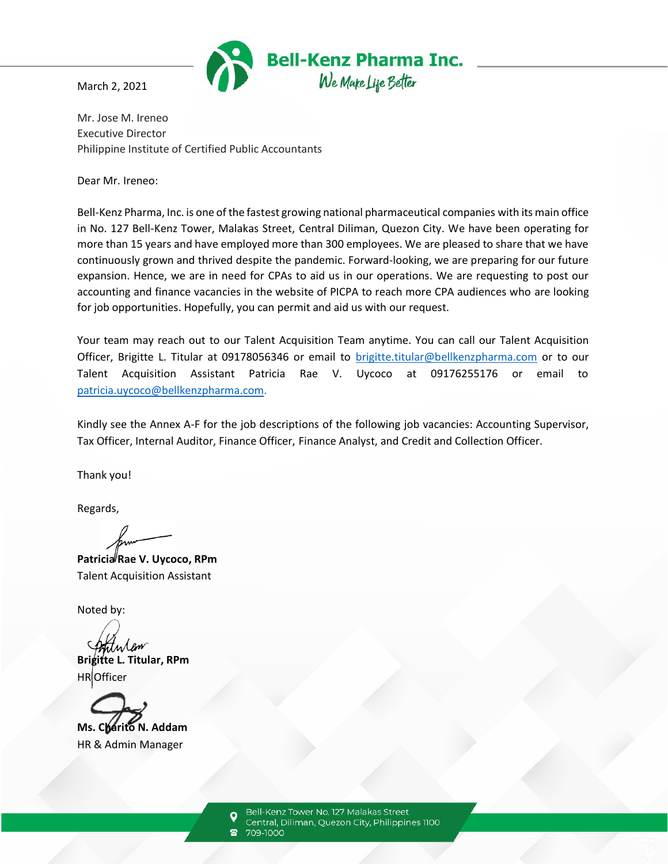

March 2, 2021

Mr. Jose M. Ireneo Executive Director Philippine Institute of Certified Public Accountants

Dear Mr. Ireneo:

Bell-Kenz Pharma, Inc. is one of the fastest growing national pharmaceutical companies with its main office in No. 127 Bell-Kenz Tower, Malakas Street, Central Diliman, Quezon City. We have been operating for more than 15 years and have employed more than 300 employees. We are pleased to share that we have continuously grown and thrived despite the pandemic. Forward-looking, we are preparing for our future expansion. Hence, we are in need for CPAs to aid us in our operations. We are requesting to post our accounting and finance vacancies in the website of PICPA to reach more CPA audiences who are looking for job opportunities. Hopefully, you can permit and aid us with our request.

Your team may reach out to our Talent Acquisition Team anytime. You can call our Talent Acquisition Officer, Brigitte L. Titular at 09178056346 or email to [brigitte.titular@bellkenzpharma.com](mailto:brigitte.titular@bellkenzpharma.com) or to our Talent Acquisition Assistant Patricia Rae V. Uycoco at 09176255176 or email to [patricia.uycoco@bellkenzpharma.com.](mailto:patricia.uycoco@bellkenzpharma.com)

Kindly see the Annex A-F for the job descriptions of the following job vacancies: Accounting Supervisor, Tax Officer, Internal Auditor, Finance Officer, Finance Analyst, and Credit and Collection Officer.

Thank you!

Regards,

Patricia<sup></sup> Rae V. Uycoco, RPm Talent Acquisition Assistant

Noted by:

**Brigitte L. Titular, RPm** HR Officer



Bell-Kenz Tower No. 127 Malakas Street Central, Diliman, Quezon City, Philippines 1100

709-1000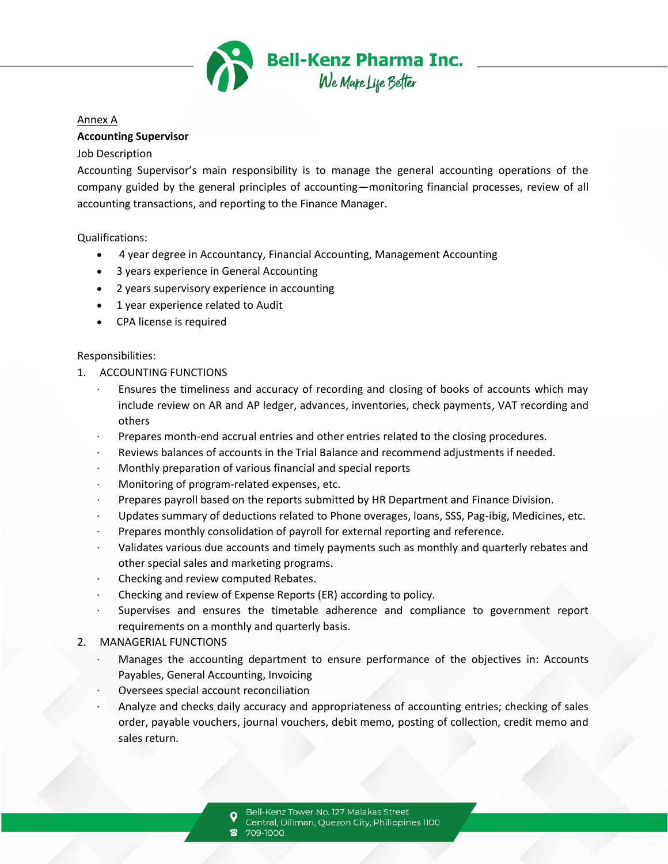

#### Annex A

#### **Accounting Supervisor**

#### Job Description

Accounting Supervisor's main responsibility is to manage the general accounting operations of the company guided by the general principles of accounting—monitoring financial processes, review of all accounting transactions, and reporting to the Finance Manager.

Qualifications:

- 4 year degree in Accountancy, Financial Accounting, Management Accounting
- 3 years experience in General Accounting
- 2 years supervisory experience in accounting
- 1 year experience related to Audit
- CPA license is required

#### Responsibilities:

- 1. ACCOUNTING FUNCTIONS
	- Ensures the timeliness and accuracy of recording and closing of books of accounts which may include review on AR and AP ledger, advances, inventories, check payments, VAT recording and others
	- Prepares month-end accrual entries and other entries related to the closing procedures.
	- · Reviews balances of accounts in the Trial Balance and recommend adjustments if needed.
	- · Monthly preparation of various financial and special reports
	- · Monitoring of program-related expenses, etc.
	- Prepares payroll based on the reports submitted by HR Department and Finance Division.
	- Updates summary of deductions related to Phone overages, loans, SSS, Pag-ibig, Medicines, etc.
	- · Prepares monthly consolidation of payroll for external reporting and reference.
	- · Validates various due accounts and timely payments such as monthly and quarterly rebates and other special sales and marketing programs.
	- · Checking and review computed Rebates.
	- · Checking and review of Expense Reports (ER) according to policy.
	- Supervises and ensures the timetable adherence and compliance to government report requirements on a monthly and quarterly basis.

#### 2. MANAGERIAL FUNCTIONS

- Manages the accounting department to ensure performance of the objectives in: Accounts Payables, General Accounting, Invoicing
- Oversees special account reconciliation
- · Analyze and checks daily accuracy and appropriateness of accounting entries; checking of sales order, payable vouchers, journal vouchers, debit memo, posting of collection, credit memo and sales return.

- Central, Diliman, Quezon City, Philippines 1100
- 709-1000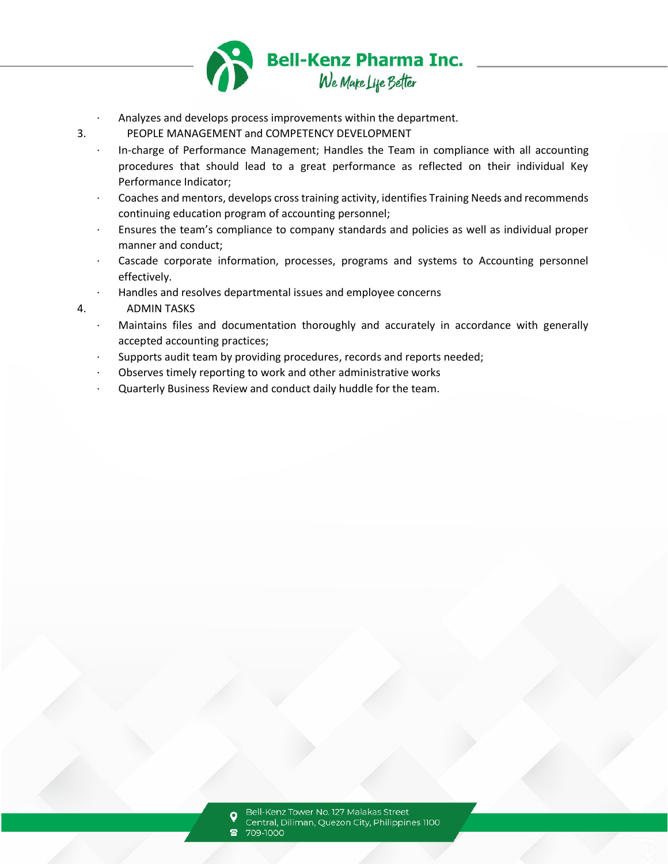

- Analyzes and develops process improvements within the department.
- 3. PEOPLE MANAGEMENT and COMPETENCY DEVELOPMENT
	- · In-charge of Performance Management; Handles the Team in compliance with all accounting procedures that should lead to a great performance as reflected on their individual Key Performance Indicator;
	- · Coaches and mentors, develops cross training activity, identifies Training Needs and recommends continuing education program of accounting personnel;
	- · Ensures the team's compliance to company standards and policies as well as individual proper manner and conduct;
	- Cascade corporate information, processes, programs and systems to Accounting personnel effectively.
	- · Handles and resolves departmental issues and employee concerns

# 4. ADMIN TASKS

- Maintains files and documentation thoroughly and accurately in accordance with generally accepted accounting practices;
- Supports audit team by providing procedures, records and reports needed;
- Observes timely reporting to work and other administrative works
- Quarterly Business Review and conduct daily huddle for the team.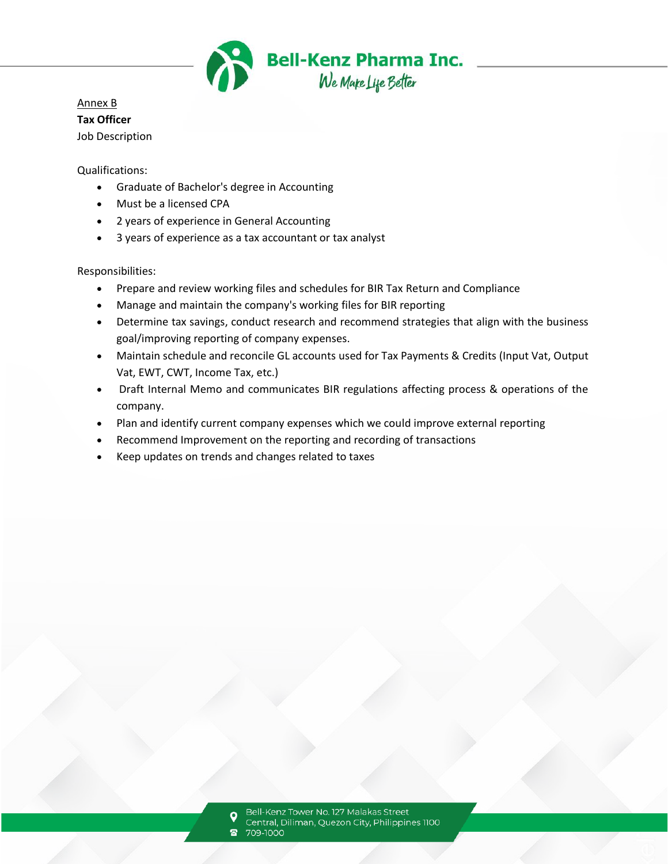

# Annex B **Tax Officer** Job Description

Qualifications:

- Graduate of Bachelor's degree in Accounting
- Must be a licensed CPA
- 2 years of experience in General Accounting
- 3 years of experience as a tax accountant or tax analyst

Responsibilities:

- Prepare and review working files and schedules for BIR Tax Return and Compliance
- Manage and maintain the company's working files for BIR reporting
- Determine tax savings, conduct research and recommend strategies that align with the business goal/improving reporting of company expenses.
- Maintain schedule and reconcile GL accounts used for Tax Payments & Credits (Input Vat, Output Vat, EWT, CWT, Income Tax, etc.)
- Draft Internal Memo and communicates BIR regulations affecting process & operations of the company.
- Plan and identify current company expenses which we could improve external reporting
- Recommend Improvement on the reporting and recording of transactions
- Keep updates on trends and changes related to taxes

Bell-Kenz Tower No. 127 Malakas Street Central, Diliman, Quezon City, Philippines 1100 709-1000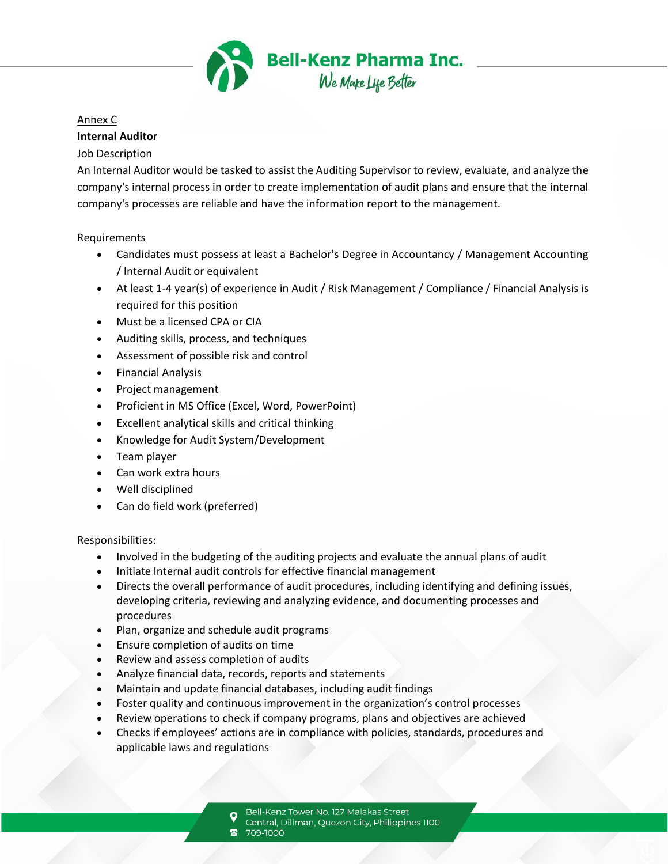

### Annex C

### **Internal Auditor**

### Job Description

An Internal Auditor would be tasked to assist the Auditing Supervisor to review, evaluate, and analyze the company's internal process in order to create implementation of audit plans and ensure that the internal company's processes are reliable and have the information report to the management.

Requirements

- Candidates must possess at least a Bachelor's Degree in Accountancy / Management Accounting / Internal Audit or equivalent
- At least 1-4 year(s) of experience in Audit / Risk Management / Compliance / Financial Analysis is required for this position
- Must be a licensed CPA or CIA
- Auditing skills, process, and techniques
- Assessment of possible risk and control
- Financial Analysis
- Project management
- Proficient in MS Office (Excel, Word, PowerPoint)
- Excellent analytical skills and critical thinking
- Knowledge for Audit System/Development
- Team player
- Can work extra hours
- Well disciplined
- Can do field work (preferred)

Responsibilities:

- Involved in the budgeting of the auditing projects and evaluate the annual plans of audit
- Initiate Internal audit controls for effective financial management
- Directs the overall performance of audit procedures, including identifying and defining issues, developing criteria, reviewing and analyzing evidence, and documenting processes and procedures
- Plan, organize and schedule audit programs
- Ensure completion of audits on time
- Review and assess completion of audits
- Analyze financial data, records, reports and statements
- Maintain and update financial databases, including audit findings
- Foster quality and continuous improvement in the organization's control processes
- Review operations to check if company programs, plans and objectives are achieved
- Checks if employees' actions are in compliance with policies, standards, procedures and applicable laws and regulations
	- Bell-Kenz Tower No. 127 Malakas Street
	- Central, Diliman, Quezon City, Philippines 1100
	- 709-1000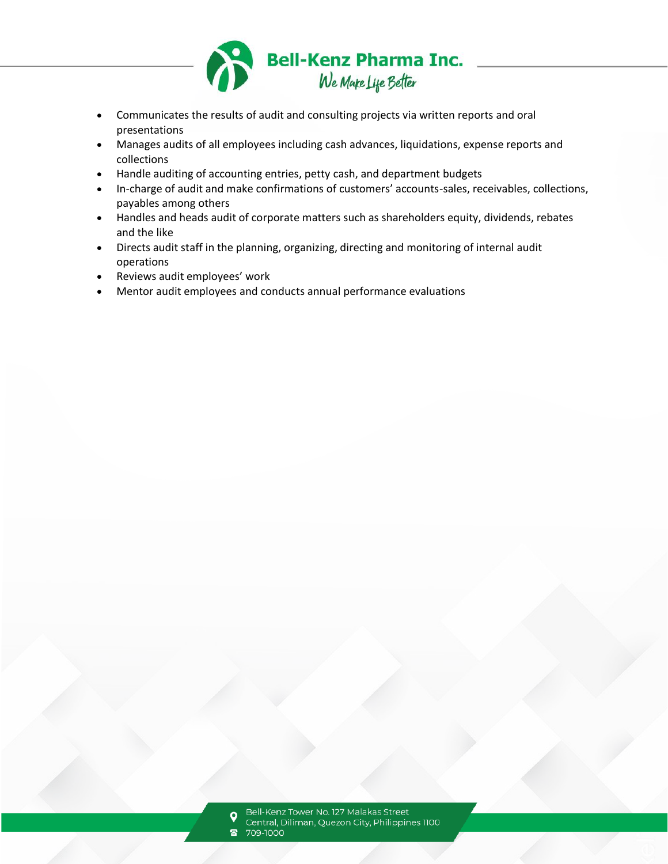

- Communicates the results of audit and consulting projects via written reports and oral presentations
- Manages audits of all employees including cash advances, liquidations, expense reports and collections
- Handle auditing of accounting entries, petty cash, and department budgets
- In-charge of audit and make confirmations of customers' accounts-sales, receivables, collections, payables among others
- Handles and heads audit of corporate matters such as shareholders equity, dividends, rebates and the like
- Directs audit staff in the planning, organizing, directing and monitoring of internal audit operations
- Reviews audit employees' work
- Mentor audit employees and conducts annual performance evaluations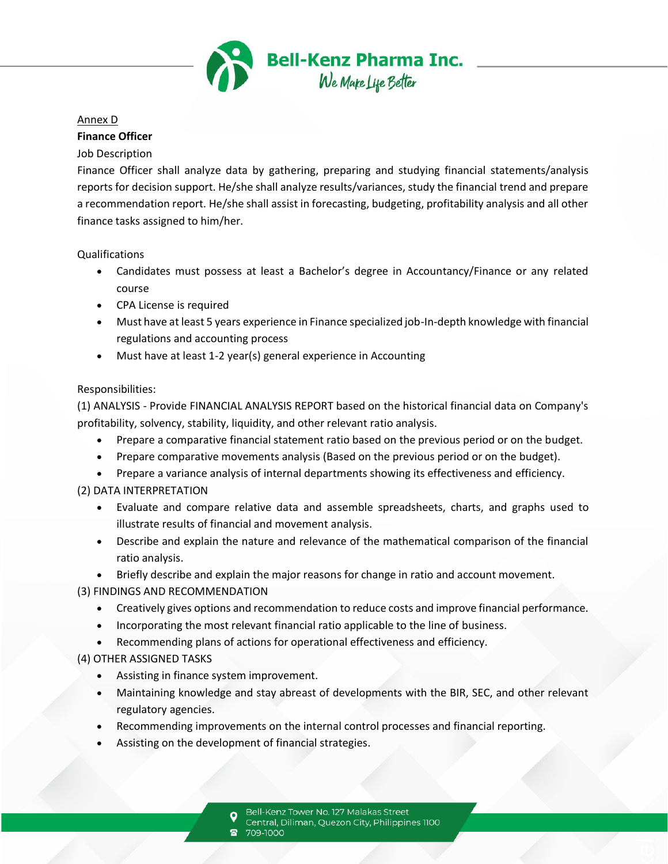

#### Annex D

### **Finance Officer**

### Job Description

Finance Officer shall analyze data by gathering, preparing and studying financial statements/analysis reports for decision support. He/she shall analyze results/variances, study the financial trend and prepare a recommendation report. He/she shall assist in forecasting, budgeting, profitability analysis and all other finance tasks assigned to him/her.

Qualifications

- Candidates must possess at least a Bachelor's degree in Accountancy/Finance or any related course
- CPA License is required
- Must have at least 5 years experience in Finance specialized job-In-depth knowledge with financial regulations and accounting process
- Must have at least 1-2 year(s) general experience in Accounting

## Responsibilities:

(1) ANALYSIS - Provide FINANCIAL ANALYSIS REPORT based on the historical financial data on Company's profitability, solvency, stability, liquidity, and other relevant ratio analysis.

- Prepare a comparative financial statement ratio based on the previous period or on the budget.
- Prepare comparative movements analysis (Based on the previous period or on the budget).
- Prepare a variance analysis of internal departments showing its effectiveness and efficiency.

# (2) DATA INTERPRETATION

- Evaluate and compare relative data and assemble spreadsheets, charts, and graphs used to illustrate results of financial and movement analysis.
- Describe and explain the nature and relevance of the mathematical comparison of the financial ratio analysis.
- Briefly describe and explain the major reasons for change in ratio and account movement.

# (3) FINDINGS AND RECOMMENDATION

- Creatively gives options and recommendation to reduce costs and improve financial performance.
- Incorporating the most relevant financial ratio applicable to the line of business.
- Recommending plans of actions for operational effectiveness and efficiency.

# (4) OTHER ASSIGNED TASKS

- Assisting in finance system improvement.
- Maintaining knowledge and stay abreast of developments with the BIR, SEC, and other relevant regulatory agencies.
- Recommending improvements on the internal control processes and financial reporting.
- Assisting on the development of financial strategies.

Bell-Kenz Tower No. 127 Malakas Street

- Central, Diliman, Quezon City, Philippines 1100
- 709-1000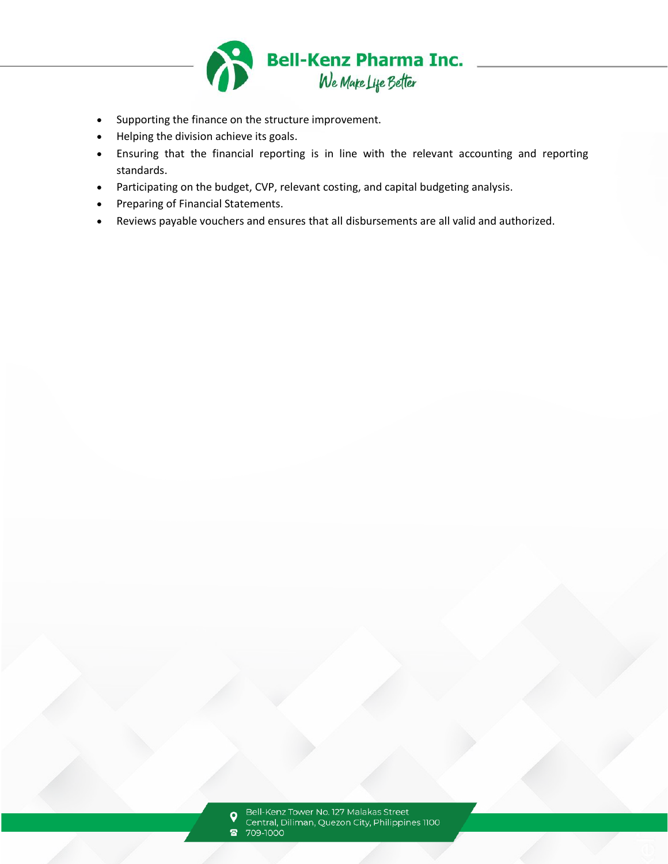

- Supporting the finance on the structure improvement.
- Helping the division achieve its goals.
- Ensuring that the financial reporting is in line with the relevant accounting and reporting standards.
- Participating on the budget, CVP, relevant costing, and capital budgeting analysis.
- Preparing of Financial Statements.
- Reviews payable vouchers and ensures that all disbursements are all valid and authorized.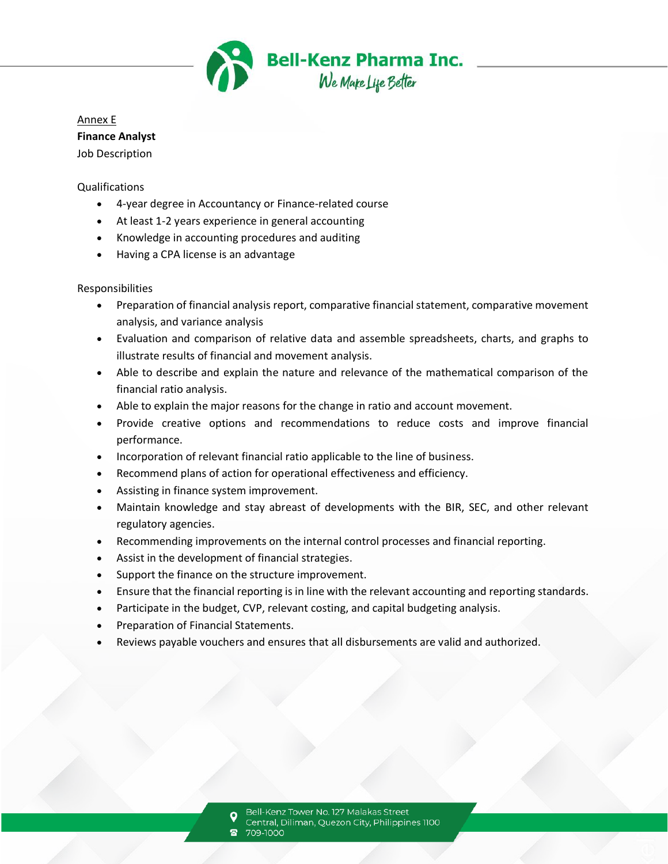

Annex E **Finance Analyst** Job Description

#### Qualifications

- 4-year degree in Accountancy or Finance-related course
- At least 1-2 years experience in general accounting
- Knowledge in accounting procedures and auditing
- Having a CPA license is an advantage

#### Responsibilities

- Preparation of financial analysis report, comparative financial statement, comparative movement analysis, and variance analysis
- Evaluation and comparison of relative data and assemble spreadsheets, charts, and graphs to illustrate results of financial and movement analysis.
- Able to describe and explain the nature and relevance of the mathematical comparison of the financial ratio analysis.
- Able to explain the major reasons for the change in ratio and account movement.
- Provide creative options and recommendations to reduce costs and improve financial performance.
- Incorporation of relevant financial ratio applicable to the line of business.
- Recommend plans of action for operational effectiveness and efficiency.
- Assisting in finance system improvement.
- Maintain knowledge and stay abreast of developments with the BIR, SEC, and other relevant regulatory agencies.
- Recommending improvements on the internal control processes and financial reporting.
- Assist in the development of financial strategies.
- Support the finance on the structure improvement.
- Ensure that the financial reporting is in line with the relevant accounting and reporting standards.
- Participate in the budget, CVP, relevant costing, and capital budgeting analysis.
- Preparation of Financial Statements.
- Reviews payable vouchers and ensures that all disbursements are valid and authorized.

709-1000